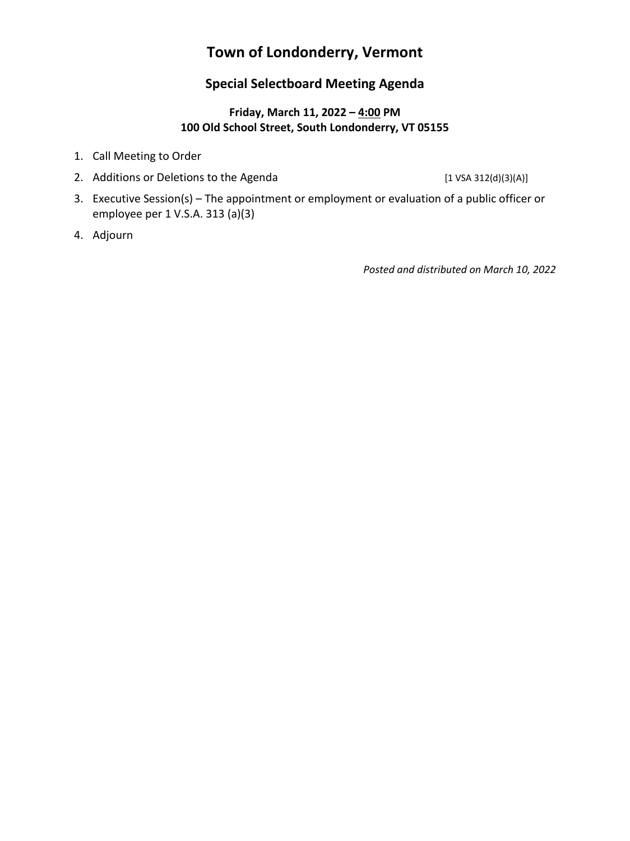# **Town of Londonderry, Vermont**

#### **Special Selectboard Meeting Agenda**

#### **Friday, March 11, 2022 – 4:00 PM 100 Old School Street, South Londonderry, VT 05155**

- 1. Call Meeting to Order
- 2. Additions or Deletions to the Agenda [1 VSA 312(d)(3)(A)]

- 3. Executive Session(s) The appointment or employment or evaluation of a public officer or employee per 1 V.S.A. 313 (a)(3)
- 4. Adjourn

*Posted and distributed on March 10, 2022*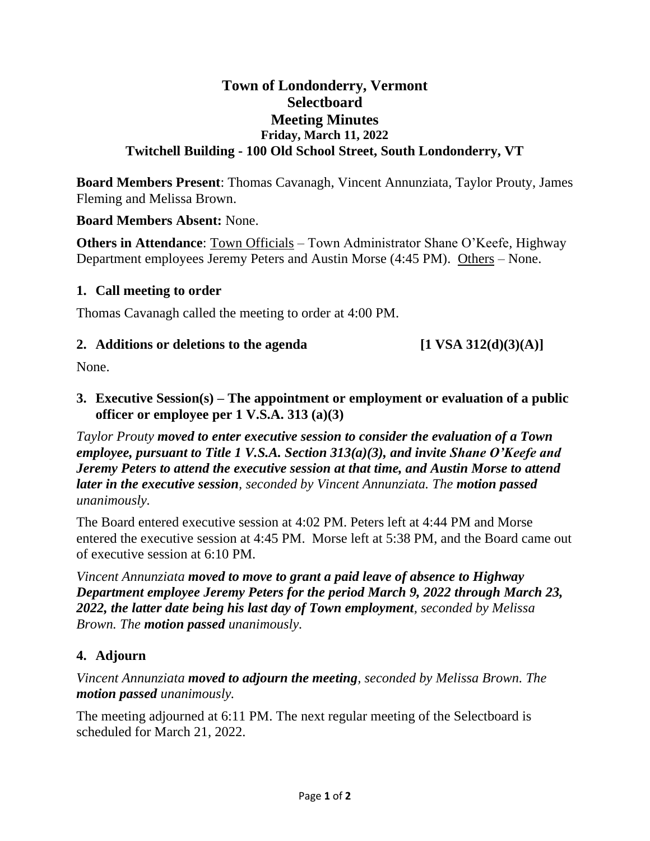### **Town of Londonderry, Vermont Selectboard Meeting Minutes Friday, March 11, 2022 Twitchell Building - 100 Old School Street, South Londonderry, VT**

**Board Members Present**: Thomas Cavanagh, Vincent Annunziata, Taylor Prouty, James Fleming and Melissa Brown.

#### **Board Members Absent:** None.

**Others in Attendance**: Town Officials – Town Administrator Shane O'Keefe, Highway Department employees Jeremy Peters and Austin Morse (4:45 PM). Others – None.

#### **1. Call meeting to order**

Thomas Cavanagh called the meeting to order at 4:00 PM.

#### **2.** Additions or deletions to the agenda  $\begin{bmatrix} 1 \text{ VSA } 312 \text{ (d)}(3) \text{ (A)} \end{bmatrix}$

None.

**3. Executive Session(s) – The appointment or employment or evaluation of a public officer or employee per 1 V.S.A. 313 (a)(3)**

*Taylor Prouty moved to enter executive session to consider the evaluation of a Town employee, pursuant to Title 1 V.S.A. Section 313(a)(3), and invite Shane O'Keefe and Jeremy Peters to attend the executive session at that time, and Austin Morse to attend later in the executive session, seconded by Vincent Annunziata. The motion passed unanimously.*

The Board entered executive session at 4:02 PM. Peters left at 4:44 PM and Morse entered the executive session at 4:45 PM. Morse left at 5:38 PM, and the Board came out of executive session at 6:10 PM.

*Vincent Annunziata moved to move to grant a paid leave of absence to Highway Department employee Jeremy Peters for the period March 9, 2022 through March 23, 2022, the latter date being his last day of Town employment, seconded by Melissa Brown. The motion passed unanimously.*

### **4. Adjourn**

*Vincent Annunziata moved to adjourn the meeting, seconded by Melissa Brown. The motion passed unanimously.*

The meeting adjourned at 6:11 PM. The next regular meeting of the Selectboard is scheduled for March 21, 2022.